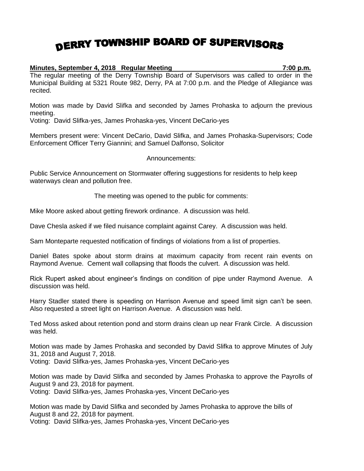## DERRY TOWNSHIP BOARD OF SUPERVISORS

## **Minutes, September 4, 2018 Regular Meeting 7:00 p.m.**

The regular meeting of the Derry Township Board of Supervisors was called to order in the Municipal Building at 5321 Route 982, Derry, PA at 7:00 p.m. and the Pledge of Allegiance was recited.

Motion was made by David Slifka and seconded by James Prohaska to adjourn the previous meeting.

Voting: David Slifka-yes, James Prohaska-yes, Vincent DeCario-yes

Members present were: Vincent DeCario, David Slifka, and James Prohaska-Supervisors; Code Enforcement Officer Terry Giannini; and Samuel Dalfonso, Solicitor

## Announcements:

Public Service Announcement on Stormwater offering suggestions for residents to help keep waterways clean and pollution free.

The meeting was opened to the public for comments:

Mike Moore asked about getting firework ordinance. A discussion was held.

Dave Chesla asked if we filed nuisance complaint against Carey. A discussion was held.

Sam Monteparte requested notification of findings of violations from a list of properties.

Daniel Bates spoke about storm drains at maximum capacity from recent rain events on Raymond Avenue. Cement wall collapsing that floods the culvert. A discussion was held.

Rick Rupert asked about engineer's findings on condition of pipe under Raymond Avenue. A discussion was held.

Harry Stadler stated there is speeding on Harrison Avenue and speed limit sign can't be seen. Also requested a street light on Harrison Avenue. A discussion was held.

Ted Moss asked about retention pond and storm drains clean up near Frank Circle. A discussion was held.

Motion was made by James Prohaska and seconded by David Slifka to approve Minutes of July 31, 2018 and August 7, 2018.

Voting: David Slifka-yes, James Prohaska-yes, Vincent DeCario-yes

Motion was made by David Slifka and seconded by James Prohaska to approve the Payrolls of August 9 and 23, 2018 for payment.

Voting: David Slifka-yes, James Prohaska-yes, Vincent DeCario-yes

Motion was made by David Slifka and seconded by James Prohaska to approve the bills of August 8 and 22, 2018 for payment.

Voting: David Slifka-yes, James Prohaska-yes, Vincent DeCario-yes